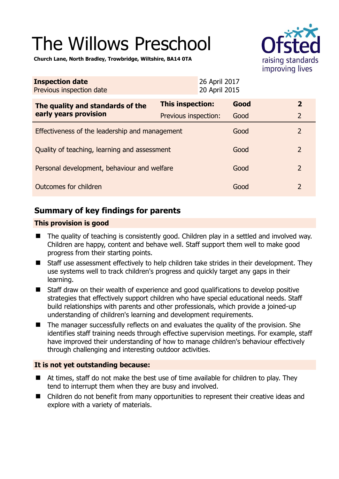# The Willows Preschool



**Church Lane, North Bradley, Trowbridge, Wiltshire, BA14 0TA** 

| <b>Inspection date</b><br>Previous inspection date        | 26 April 2017<br>20 April 2015 |      |                |
|-----------------------------------------------------------|--------------------------------|------|----------------|
| The quality and standards of the<br>early years provision | <b>This inspection:</b>        | Good | $\overline{2}$ |
|                                                           | Previous inspection:           | Good | $\overline{2}$ |
| Effectiveness of the leadership and management            |                                | Good | $\overline{2}$ |
| Quality of teaching, learning and assessment              |                                | Good | $\overline{2}$ |
| Personal development, behaviour and welfare               |                                | Good | $\overline{2}$ |
| Outcomes for children                                     |                                | Good | $\overline{2}$ |

# **Summary of key findings for parents**

# **This provision is good**

- The quality of teaching is consistently good. Children play in a settled and involved way. Children are happy, content and behave well. Staff support them well to make good progress from their starting points.
- Staff use assessment effectively to help children take strides in their development. They use systems well to track children's progress and quickly target any gaps in their learning.
- Staff draw on their wealth of experience and good qualifications to develop positive strategies that effectively support children who have special educational needs. Staff build relationships with parents and other professionals, which provide a joined-up understanding of children's learning and development requirements.
- The manager successfully reflects on and evaluates the quality of the provision. She identifies staff training needs through effective supervision meetings. For example, staff have improved their understanding of how to manage children's behaviour effectively through challenging and interesting outdoor activities.

# **It is not yet outstanding because:**

- At times, staff do not make the best use of time available for children to play. They tend to interrupt them when they are busy and involved.
- Children do not benefit from many opportunities to represent their creative ideas and explore with a variety of materials.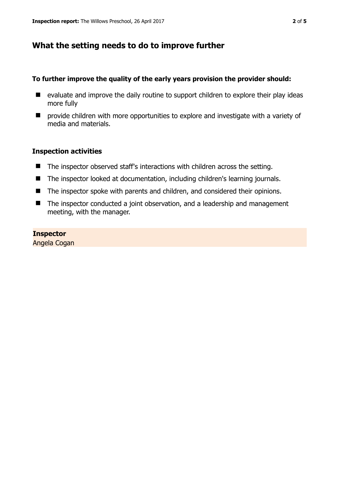# **What the setting needs to do to improve further**

## **To further improve the quality of the early years provision the provider should:**

- $\blacksquare$  evaluate and improve the daily routine to support children to explore their play ideas more fully
- **E** provide children with more opportunities to explore and investigate with a variety of media and materials.

# **Inspection activities**

- The inspector observed staff's interactions with children across the setting.
- The inspector looked at documentation, including children's learning journals.
- The inspector spoke with parents and children, and considered their opinions.
- The inspector conducted a joint observation, and a leadership and management meeting, with the manager.

#### **Inspector**

Angela Cogan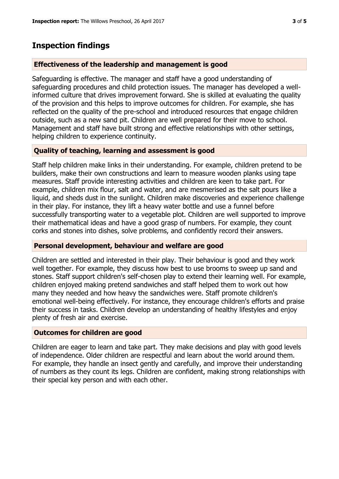# **Inspection findings**

## **Effectiveness of the leadership and management is good**

Safeguarding is effective. The manager and staff have a good understanding of safeguarding procedures and child protection issues. The manager has developed a wellinformed culture that drives improvement forward. She is skilled at evaluating the quality of the provision and this helps to improve outcomes for children. For example, she has reflected on the quality of the pre-school and introduced resources that engage children outside, such as a new sand pit. Children are well prepared for their move to school. Management and staff have built strong and effective relationships with other settings, helping children to experience continuity.

# **Quality of teaching, learning and assessment is good**

Staff help children make links in their understanding. For example, children pretend to be builders, make their own constructions and learn to measure wooden planks using tape measures. Staff provide interesting activities and children are keen to take part. For example, children mix flour, salt and water, and are mesmerised as the salt pours like a liquid, and sheds dust in the sunlight. Children make discoveries and experience challenge in their play. For instance, they lift a heavy water bottle and use a funnel before successfully transporting water to a vegetable plot. Children are well supported to improve their mathematical ideas and have a good grasp of numbers. For example, they count corks and stones into dishes, solve problems, and confidently record their answers.

## **Personal development, behaviour and welfare are good**

Children are settled and interested in their play. Their behaviour is good and they work well together. For example, they discuss how best to use brooms to sweep up sand and stones. Staff support children's self-chosen play to extend their learning well. For example, children enjoyed making pretend sandwiches and staff helped them to work out how many they needed and how heavy the sandwiches were. Staff promote children's emotional well-being effectively. For instance, they encourage children's efforts and praise their success in tasks. Children develop an understanding of healthy lifestyles and enjoy plenty of fresh air and exercise.

## **Outcomes for children are good**

Children are eager to learn and take part. They make decisions and play with good levels of independence. Older children are respectful and learn about the world around them. For example, they handle an insect gently and carefully, and improve their understanding of numbers as they count its legs. Children are confident, making strong relationships with their special key person and with each other.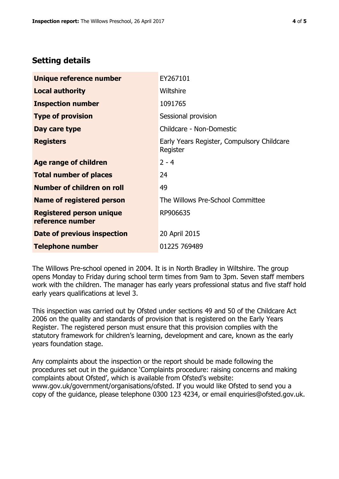# **Setting details**

| Unique reference number                             | EY267101                                               |  |
|-----------------------------------------------------|--------------------------------------------------------|--|
| <b>Local authority</b>                              | Wiltshire                                              |  |
| <b>Inspection number</b>                            | 1091765                                                |  |
| <b>Type of provision</b>                            | Sessional provision                                    |  |
| Day care type                                       | Childcare - Non-Domestic                               |  |
| <b>Registers</b>                                    | Early Years Register, Compulsory Childcare<br>Register |  |
| Age range of children                               | $2 - 4$                                                |  |
| <b>Total number of places</b>                       | 24                                                     |  |
| Number of children on roll                          | 49                                                     |  |
| Name of registered person                           | The Willows Pre-School Committee                       |  |
| <b>Registered person unique</b><br>reference number | RP906635                                               |  |
| Date of previous inspection                         | 20 April 2015                                          |  |
| <b>Telephone number</b>                             | 01225 769489                                           |  |

The Willows Pre-school opened in 2004. It is in North Bradley in Wiltshire. The group opens Monday to Friday during school term times from 9am to 3pm. Seven staff members work with the children. The manager has early years professional status and five staff hold early years qualifications at level 3.

This inspection was carried out by Ofsted under sections 49 and 50 of the Childcare Act 2006 on the quality and standards of provision that is registered on the Early Years Register. The registered person must ensure that this provision complies with the statutory framework for children's learning, development and care, known as the early years foundation stage.

Any complaints about the inspection or the report should be made following the procedures set out in the guidance 'Complaints procedure: raising concerns and making complaints about Ofsted', which is available from Ofsted's website: www.gov.uk/government/organisations/ofsted. If you would like Ofsted to send you a copy of the guidance, please telephone 0300 123 4234, or email enquiries@ofsted.gov.uk.